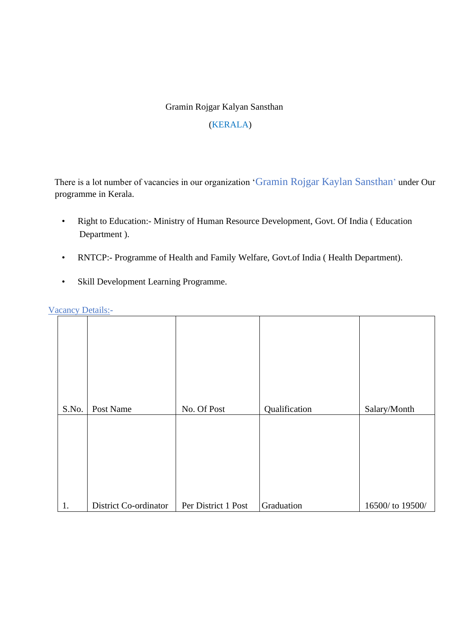## Gramin Rojgar Kalyan Sansthan

#### (KERALA)

There is a lot number of vacancies in our organization 'Gramin Rojgar Kaylan Sansthan' under Our programme in Kerala.

- Right to Education:- Ministry of Human Resource Development, Govt. Of India ( Education Department ).
- RNTCP:- Programme of Health and Family Welfare, Govt.of India ( Health Department).
- Skill Development Learning Programme.

| Vacancy Details:- |
|-------------------|
|                   |

| S.No. | Post Name             | No. Of Post         | Qualification | Salary/Month    |
|-------|-----------------------|---------------------|---------------|-----------------|
|       |                       |                     |               |                 |
| 1.    | District Co-ordinator | Per District 1 Post | Graduation    | 16500/to 19500/ |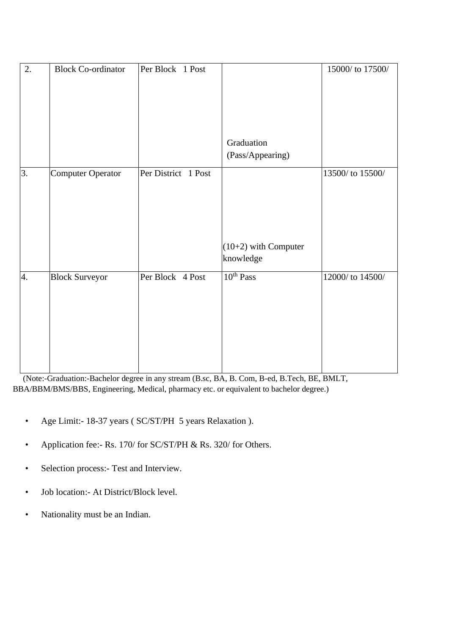| 2. | <b>Block Co-ordinator</b> | Per Block 1 Post    |                        | 15000/ to 17500/ |
|----|---------------------------|---------------------|------------------------|------------------|
|    |                           |                     |                        |                  |
|    |                           |                     |                        |                  |
|    |                           |                     |                        |                  |
|    |                           |                     |                        |                  |
|    |                           |                     |                        |                  |
|    |                           |                     | Graduation             |                  |
|    |                           |                     | (Pass/Appearing)       |                  |
| 3. | Computer Operator         | Per District 1 Post |                        | 13500/ to 15500/ |
|    |                           |                     |                        |                  |
|    |                           |                     |                        |                  |
|    |                           |                     |                        |                  |
|    |                           |                     |                        |                  |
|    |                           |                     |                        |                  |
|    |                           |                     | $(10+2)$ with Computer |                  |
|    |                           |                     | knowledge              |                  |
| 4. | <b>Block Surveyor</b>     | Per Block 4 Post    | 10 <sup>th</sup> Pass  | 12000/ to 14500/ |
|    |                           |                     |                        |                  |
|    |                           |                     |                        |                  |
|    |                           |                     |                        |                  |
|    |                           |                     |                        |                  |
|    |                           |                     |                        |                  |
|    |                           |                     |                        |                  |
|    |                           |                     |                        |                  |

 (Note:-Graduation:-Bachelor degree in any stream (B.sc, BA, B. Com, B-ed, B.Tech, BE, BMLT, BBA/BBM/BMS/BBS, Engineering, Medical, pharmacy etc. or equivalent to bachelor degree.)

- Age Limit:- 18-37 years ( SC/ST/PH 5 years Relaxation ).
- Application fee:- Rs. 170/ for SC/ST/PH & Rs. 320/ for Others.
- Selection process:- Test and Interview.
- Job location:- At District/Block level.
- Nationality must be an Indian.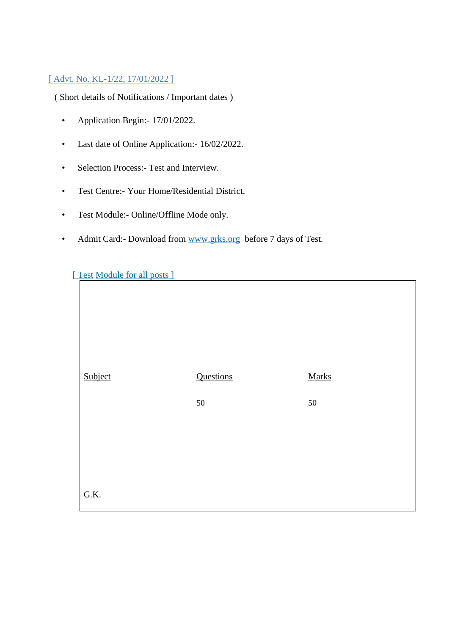### [ Advt. No. KL-1/22, 17/01/2022 ]

( Short details of Notifications / Important dates )

- Application Begin: 17/01/2022.
- Last date of Online Application:- 16/02/2022.
- Selection Process:- Test and Interview.
- Test Centre:- Your Home/Residential District.
- Test Module:- Online/Offline Mode only.
- Admit Card:- Download from www.grks.org before 7 days of Test.

| Subject     | Questions | <b>Marks</b> |
|-------------|-----------|--------------|
|             | $50\,$    | $50\,$       |
|             |           |              |
| <b>G.K.</b> |           |              |

#### [ Test Module for all posts ]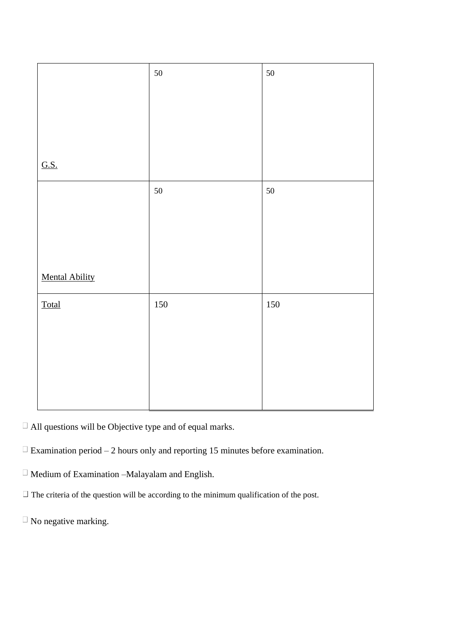|                       | 50  | 50  |
|-----------------------|-----|-----|
|                       |     |     |
|                       |     |     |
|                       |     |     |
|                       |     |     |
|                       |     |     |
|                       |     |     |
|                       |     |     |
|                       |     |     |
| G.S.                  |     |     |
|                       |     |     |
|                       | 50  | 50  |
|                       |     |     |
|                       |     |     |
|                       |     |     |
|                       |     |     |
|                       |     |     |
|                       |     |     |
|                       |     |     |
| <b>Mental Ability</b> |     |     |
|                       |     |     |
| <b>Total</b>          | 150 | 150 |
|                       |     |     |
|                       |     |     |
|                       |     |     |
|                       |     |     |
|                       |     |     |
|                       |     |     |
|                       |     |     |
|                       |     |     |
|                       |     |     |

 $\Box$  All questions will be Objective type and of equal marks.

 $\Box$  Examination period – 2 hours only and reporting 15 minutes before examination.

 $\Box$  Medium of Examination –Malayalam and English.

 $\Box$  The criteria of the question will be according to the minimum qualification of the post.

 $\Box$  No negative marking.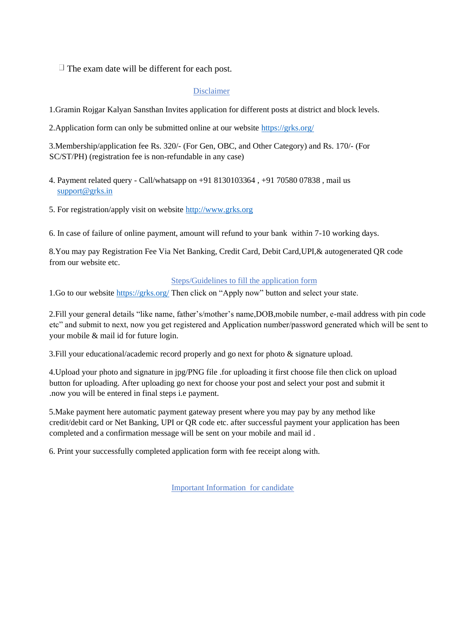$\Box$  The exam date will be different for each post.

#### Disclaimer

1.Gramin Rojgar Kalyan Sansthan Invites application for different posts at district and block levels.

2.Application form can only be submitted online at our website https://grks.org/

3.Membership/application fee Rs. 320/- (For Gen, OBC, and Other Category) and Rs. 170/- (For SC/ST/PH) (registration fee is non-refundable in any case)

- 4. Payment related query Call/whatsapp on +91 8130103364 , +91 70580 07838 , mail us support@grks.in
- 5. For registration/apply visit on website http://www.grks.org

6. In case of failure of online payment, amount will refund to your bank within 7-10 working days.

8.You may pay Registration Fee Via Net Banking, Credit Card, Debit Card,UPI,& autogenerated QR code from our website etc.

#### Steps/Guidelines to fill the application form

1.Go to our website https://grks.org/ Then click on "Apply now" button and select your state.

2.Fill your general details "like name, father's/mother's name,DOB,mobile number, e-mail address with pin code etc" and submit to next, now you get registered and Application number/password generated which will be sent to your mobile & mail id for future login.

3.Fill your educational/academic record properly and go next for photo & signature upload.

4.Upload your photo and signature in jpg/PNG file .for uploading it first choose file then click on upload button for uploading. After uploading go next for choose your post and select your post and submit it .now you will be entered in final steps i.e payment.

5.Make payment here automatic payment gateway present where you may pay by any method like credit/debit card or Net Banking, UPI or QR code etc. after successful payment your application has been completed and a confirmation message will be sent on your mobile and mail id .

6. Print your successfully completed application form with fee receipt along with.

Important Information for candidate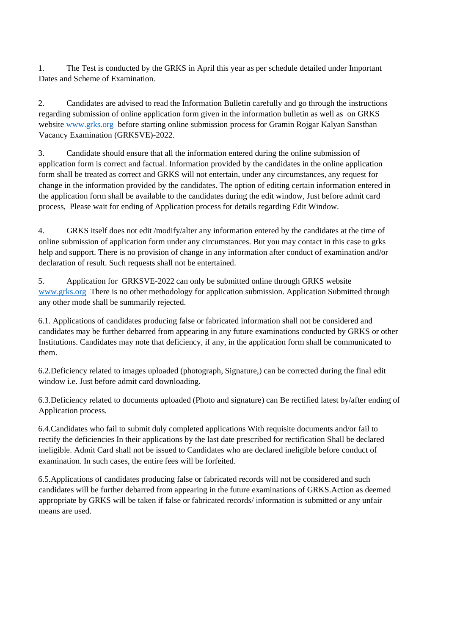1. The Test is conducted by the GRKS in April this year as per schedule detailed under Important Dates and Scheme of Examination.

2. Candidates are advised to read the Information Bulletin carefully and go through the instructions regarding submission of online application form given in the information bulletin as well as on GRKS website www.grks.org before starting online submission process for Gramin Rojgar Kalyan Sansthan Vacancy Examination (GRKSVE)-2022.

3. Candidate should ensure that all the information entered during the online submission of application form is correct and factual. Information provided by the candidates in the online application form shall be treated as correct and GRKS will not entertain, under any circumstances, any request for change in the information provided by the candidates. The option of editing certain information entered in the application form shall be available to the candidates during the edit window, Just before admit card process, Please wait for ending of Application process for details regarding Edit Window.

4. GRKS itself does not edit /modify/alter any information entered by the candidates at the time of online submission of application form under any circumstances. But you may contact in this case to grks help and support. There is no provision of change in any information after conduct of examination and/or declaration of result. Such requests shall not be entertained.

5. Application for GRKSVE-2022 can only be submitted online through GRKS website www.grks.org There is no other methodology for application submission. Application Submitted through any other mode shall be summarily rejected.

6.1. Applications of candidates producing false or fabricated information shall not be considered and candidates may be further debarred from appearing in any future examinations conducted by GRKS or other Institutions. Candidates may note that deficiency, if any, in the application form shall be communicated to them.

6.2.Deficiency related to images uploaded (photograph, Signature,) can be corrected during the final edit window i.e. Just before admit card downloading.

6.3.Deficiency related to documents uploaded (Photo and signature) can Be rectified latest by/after ending of Application process.

6.4.Candidates who fail to submit duly completed applications With requisite documents and/or fail to rectify the deficiencies In their applications by the last date prescribed for rectification Shall be declared ineligible. Admit Card shall not be issued to Candidates who are declared ineligible before conduct of examination. In such cases, the entire fees will be forfeited.

6.5.Applications of candidates producing false or fabricated records will not be considered and such candidates will be further debarred from appearing in the future examinations of GRKS.Action as deemed appropriate by GRKS will be taken if false or fabricated records/ information is submitted or any unfair means are used.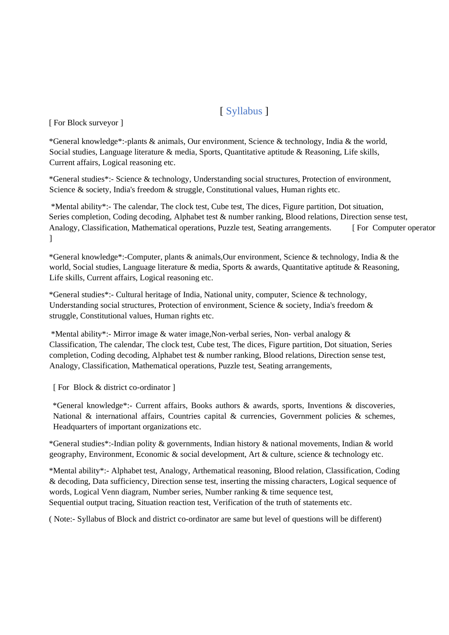# [ Syllabus ]

[ For Block surveyor ]

\*General knowledge\*:-plants & animals, Our environment, Science & technology, India & the world, Social studies, Language literature & media, Sports, Quantitative aptitude & Reasoning, Life skills, Current affairs, Logical reasoning etc.

\*General studies\*:- Science & technology, Understanding social structures, Protection of environment, Science & society, India's freedom & struggle, Constitutional values, Human rights etc.

\*Mental ability\*:- The calendar, The clock test, Cube test, The dices, Figure partition, Dot situation, Series completion, Coding decoding, Alphabet test & number ranking, Blood relations, Direction sense test, Analogy, Classification, Mathematical operations, Puzzle test, Seating arrangements. [ For Computer operator ]

\*General knowledge\*:-Computer, plants & animals,Our environment, Science & technology, India & the world, Social studies, Language literature & media, Sports & awards, Quantitative aptitude & Reasoning, Life skills, Current affairs, Logical reasoning etc.

\*General studies\*:- Cultural heritage of India, National unity, computer, Science & technology, Understanding social structures, Protection of environment, Science & society, India's freedom & struggle, Constitutional values, Human rights etc.

\*Mental ability\*:- Mirror image & water image,Non-verbal series, Non- verbal analogy & Classification, The calendar, The clock test, Cube test, The dices, Figure partition, Dot situation, Series completion, Coding decoding, Alphabet test & number ranking, Blood relations, Direction sense test, Analogy, Classification, Mathematical operations, Puzzle test, Seating arrangements,

[ For Block & district co-ordinator ]

\*General knowledge\*:- Current affairs, Books authors & awards, sports, Inventions & discoveries, National & international affairs, Countries capital & currencies, Government policies & schemes, Headquarters of important organizations etc.

\*General studies\*:-Indian polity & governments, Indian history & national movements, Indian & world geography, Environment, Economic & social development, Art & culture, science & technology etc.

\*Mental ability\*:- Alphabet test, Analogy, Arthematical reasoning, Blood relation, Classification, Coding & decoding, Data sufficiency, Direction sense test, inserting the missing characters, Logical sequence of words, Logical Venn diagram, Number series, Number ranking & time sequence test, Sequential output tracing, Situation reaction test, Verification of the truth of statements etc.

( Note:- Syllabus of Block and district co-ordinator are same but level of questions will be different)